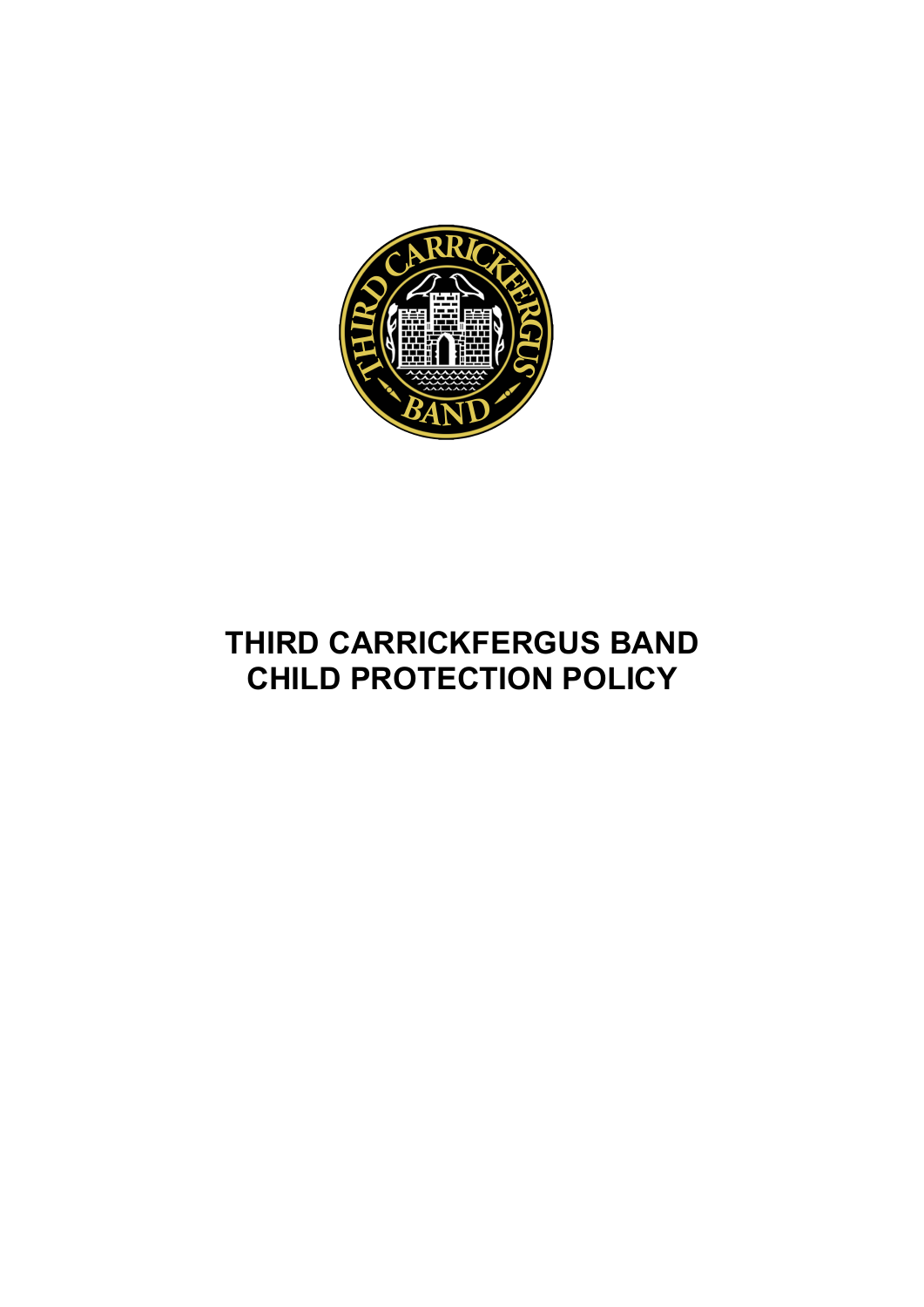

# **THIRD CARRICKFERGUS BAND CHILD PROTECTION POLICY**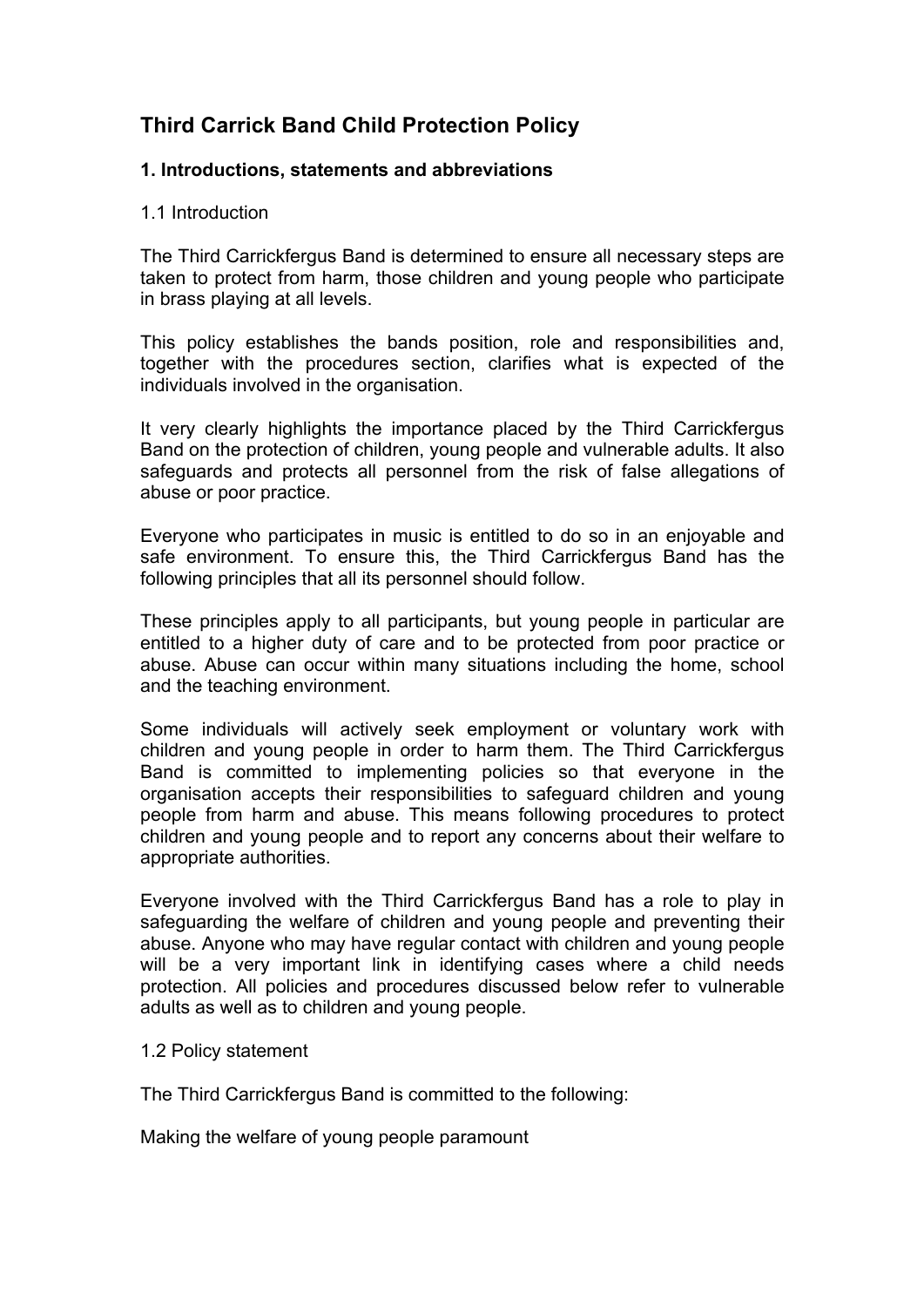# **Third Carrick Band Child Protection Policy**

# **1. Introductions, statements and abbreviations**

# 1.1 Introduction

The Third Carrickfergus Band is determined to ensure all necessary steps are taken to protect from harm, those children and young people who participate in brass playing at all levels.

This policy establishes the bands position, role and responsibilities and, together with the procedures section, clarifies what is expected of the individuals involved in the organisation.

It very clearly highlights the importance placed by the Third Carrickfergus Band on the protection of children, young people and vulnerable adults. It also safeguards and protects all personnel from the risk of false allegations of abuse or poor practice.

Everyone who participates in music is entitled to do so in an enjoyable and safe environment. To ensure this, the Third Carrickfergus Band has the following principles that all its personnel should follow.

These principles apply to all participants, but young people in particular are entitled to a higher duty of care and to be protected from poor practice or abuse. Abuse can occur within many situations including the home, school and the teaching environment.

Some individuals will actively seek employment or voluntary work with children and young people in order to harm them. The Third Carrickfergus Band is committed to implementing policies so that everyone in the organisation accepts their responsibilities to safeguard children and young people from harm and abuse. This means following procedures to protect children and young people and to report any concerns about their welfare to appropriate authorities.

Everyone involved with the Third Carrickfergus Band has a role to play in safeguarding the welfare of children and young people and preventing their abuse. Anyone who may have regular contact with children and young people will be a very important link in identifying cases where a child needs protection. All policies and procedures discussed below refer to vulnerable adults as well as to children and young people.

1.2 Policy statement

The Third Carrickfergus Band is committed to the following:

Making the welfare of young people paramount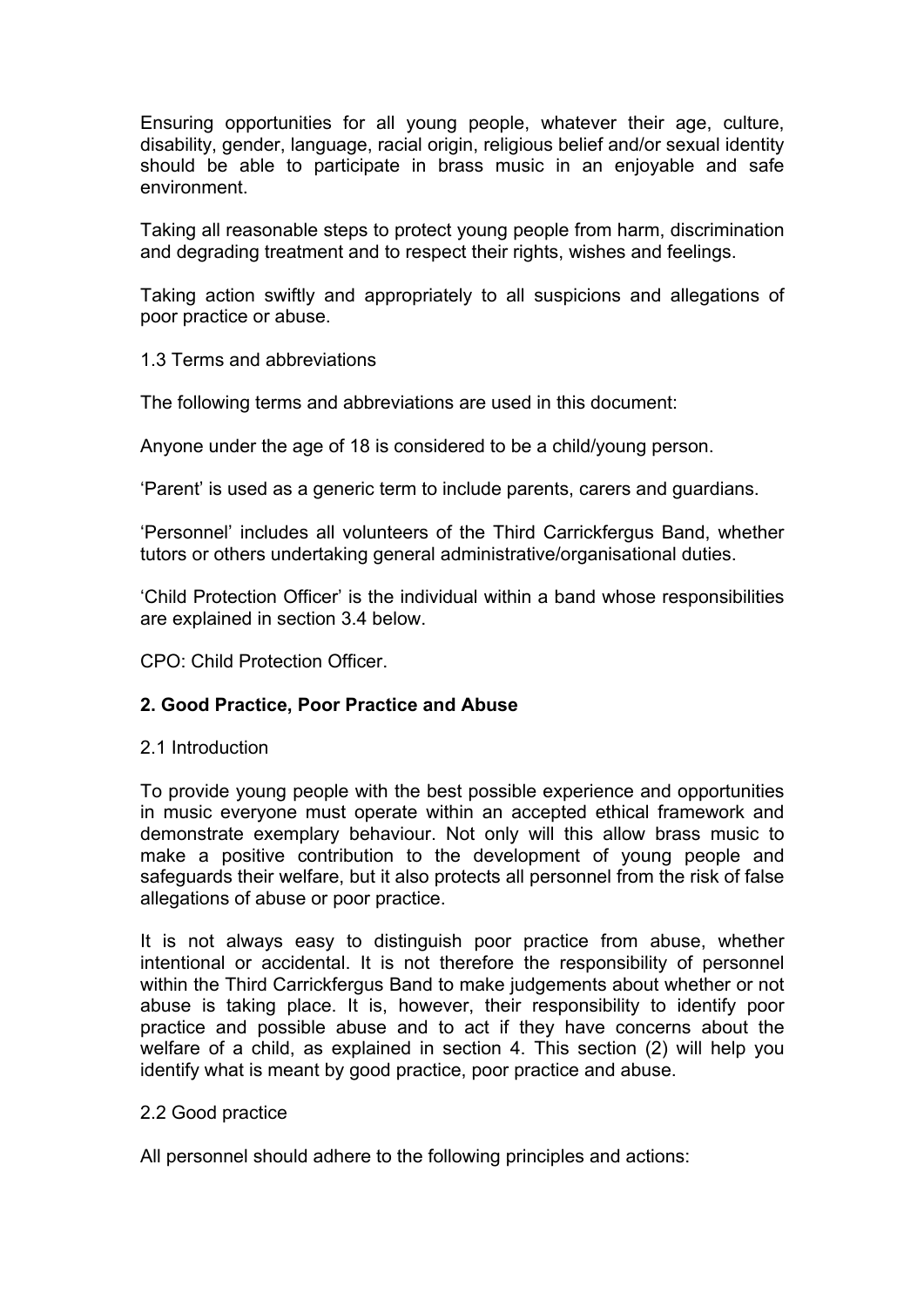Ensuring opportunities for all young people, whatever their age, culture, disability, gender, language, racial origin, religious belief and/or sexual identity should be able to participate in brass music in an enjoyable and safe environment.

Taking all reasonable steps to protect young people from harm, discrimination and degrading treatment and to respect their rights, wishes and feelings.

Taking action swiftly and appropriately to all suspicions and allegations of poor practice or abuse.

# 1.3 Terms and abbreviations

The following terms and abbreviations are used in this document:

Anyone under the age of 18 is considered to be a child/young person.

'Parent' is used as a generic term to include parents, carers and guardians.

'Personnel' includes all volunteers of the Third Carrickfergus Band, whether tutors or others undertaking general administrative/organisational duties.

'Child Protection Officer' is the individual within a band whose responsibilities are explained in section 3.4 below.

CPO: Child Protection Officer.

# **2. Good Practice, Poor Practice and Abuse**

# 2.1 Introduction

To provide young people with the best possible experience and opportunities in music everyone must operate within an accepted ethical framework and demonstrate exemplary behaviour. Not only will this allow brass music to make a positive contribution to the development of young people and safeguards their welfare, but it also protects all personnel from the risk of false allegations of abuse or poor practice.

It is not always easy to distinguish poor practice from abuse, whether intentional or accidental. It is not therefore the responsibility of personnel within the Third Carrickfergus Band to make judgements about whether or not abuse is taking place. It is, however, their responsibility to identify poor practice and possible abuse and to act if they have concerns about the welfare of a child, as explained in section 4. This section (2) will help you identify what is meant by good practice, poor practice and abuse.

# 2.2 Good practice

All personnel should adhere to the following principles and actions: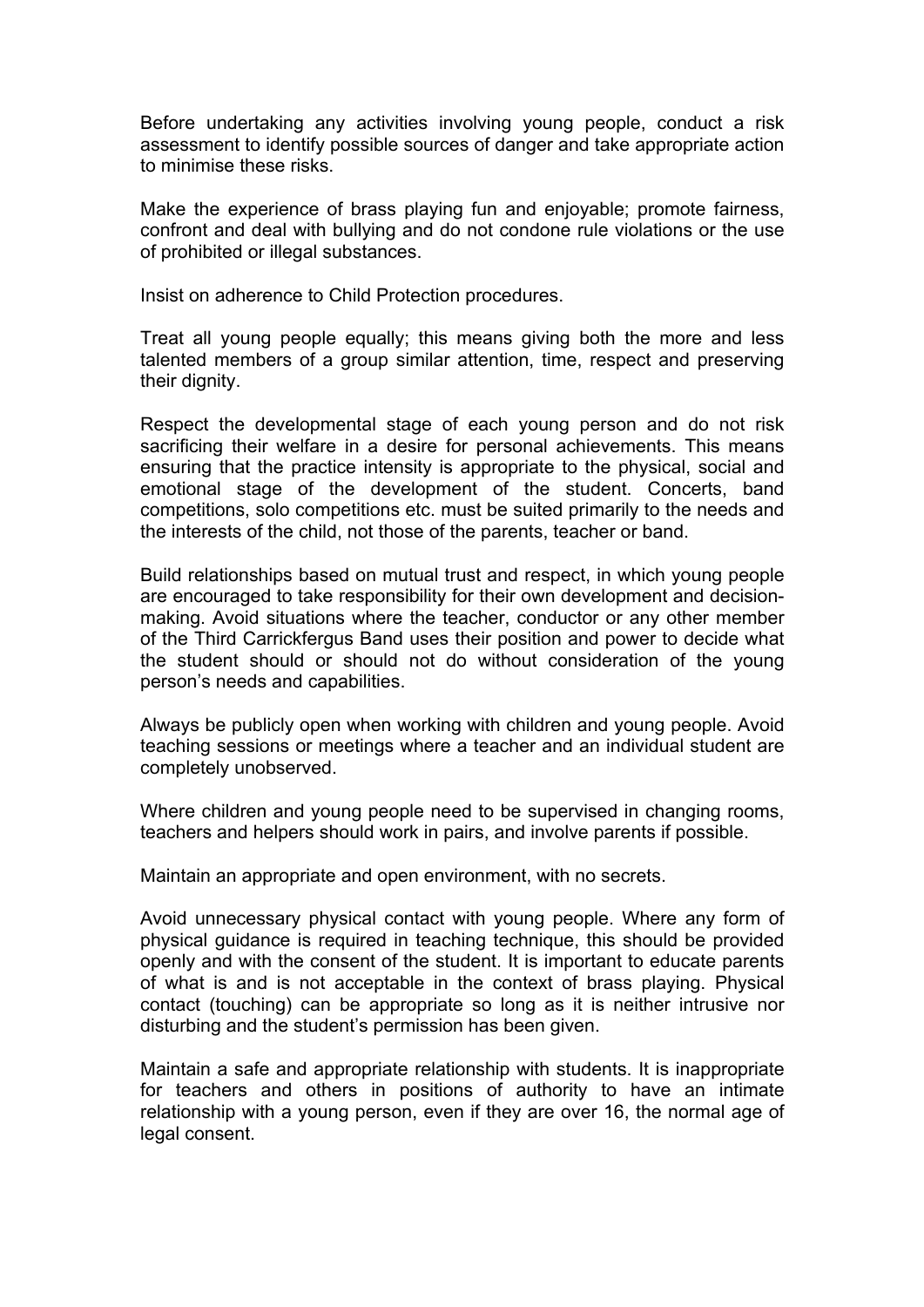Before undertaking any activities involving young people, conduct a risk assessment to identify possible sources of danger and take appropriate action to minimise these risks.

Make the experience of brass playing fun and enjoyable; promote fairness, confront and deal with bullying and do not condone rule violations or the use of prohibited or illegal substances.

Insist on adherence to Child Protection procedures.

Treat all young people equally; this means giving both the more and less talented members of a group similar attention, time, respect and preserving their dignity.

Respect the developmental stage of each young person and do not risk sacrificing their welfare in a desire for personal achievements. This means ensuring that the practice intensity is appropriate to the physical, social and emotional stage of the development of the student. Concerts, band competitions, solo competitions etc. must be suited primarily to the needs and the interests of the child, not those of the parents, teacher or band.

Build relationships based on mutual trust and respect, in which young people are encouraged to take responsibility for their own development and decisionmaking. Avoid situations where the teacher, conductor or any other member of the Third Carrickfergus Band uses their position and power to decide what the student should or should not do without consideration of the young person's needs and capabilities.

Always be publicly open when working with children and young people. Avoid teaching sessions or meetings where a teacher and an individual student are completely unobserved.

Where children and young people need to be supervised in changing rooms, teachers and helpers should work in pairs, and involve parents if possible.

Maintain an appropriate and open environment, with no secrets.

Avoid unnecessary physical contact with young people. Where any form of physical guidance is required in teaching technique, this should be provided openly and with the consent of the student. It is important to educate parents of what is and is not acceptable in the context of brass playing. Physical contact (touching) can be appropriate so long as it is neither intrusive nor disturbing and the student's permission has been given.

Maintain a safe and appropriate relationship with students. It is inappropriate for teachers and others in positions of authority to have an intimate relationship with a young person, even if they are over 16, the normal age of legal consent.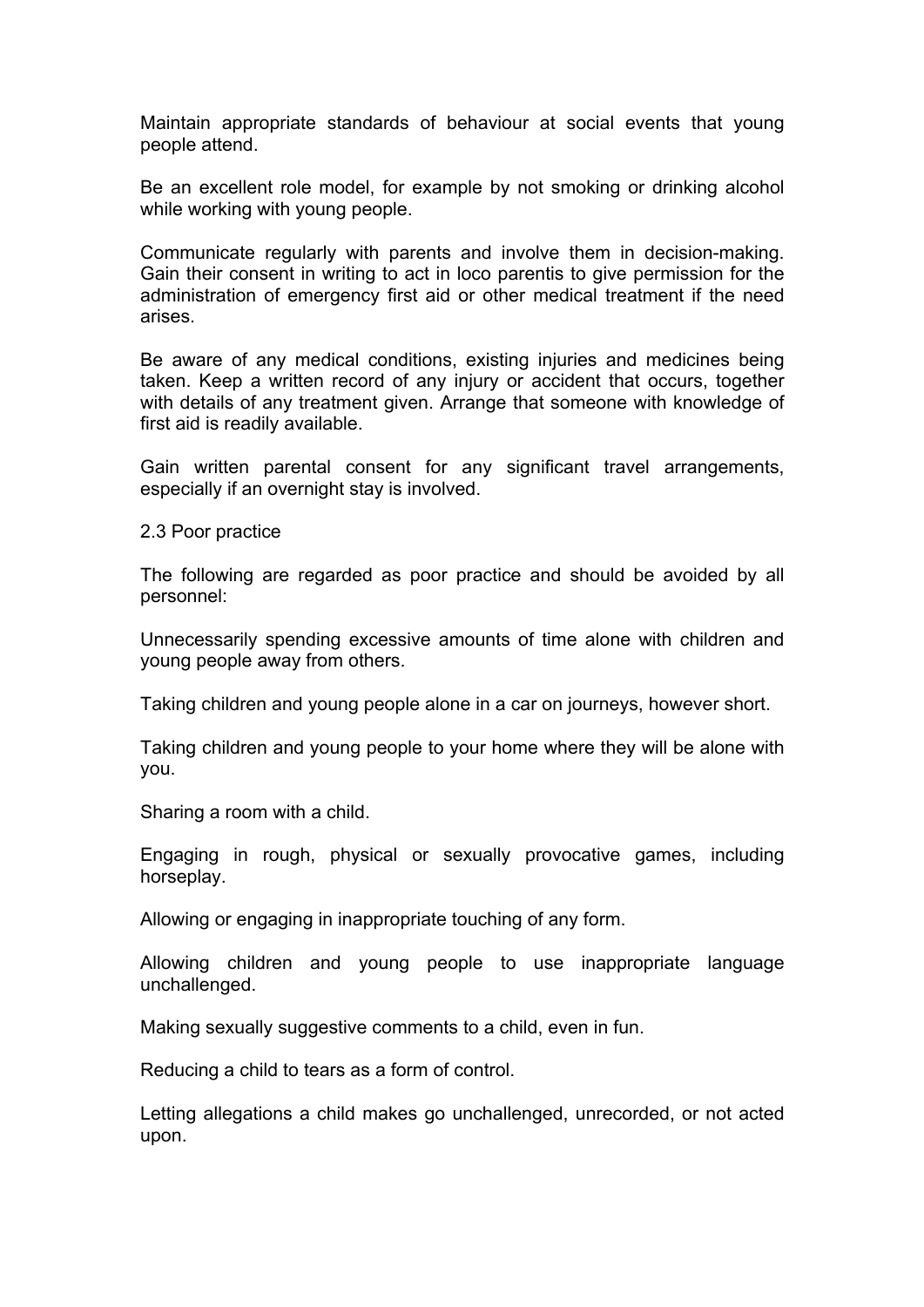Maintain appropriate standards of behaviour at social events that young people attend.

Be an excellent role model, for example by not smoking or drinking alcohol while working with young people.

Communicate regularly with parents and involve them in decision-making. Gain their consent in writing to act in loco parentis to give permission for the administration of emergency first aid or other medical treatment if the need arises.

Be aware of any medical conditions, existing injuries and medicines being taken. Keep a written record of any injury or accident that occurs, together with details of any treatment given. Arrange that someone with knowledge of first aid is readily available.

Gain written parental consent for any significant travel arrangements, especially if an overnight stay is involved.

2.3 Poor practice

The following are regarded as poor practice and should be avoided by all personnel:

Unnecessarily spending excessive amounts of time alone with children and young people away from others.

Taking children and young people alone in a car on journeys, however short.

Taking children and young people to your home where they will be alone with you.

Sharing a room with a child.

Engaging in rough, physical or sexually provocative games, including horseplay.

Allowing or engaging in inappropriate touching of any form.

Allowing children and young people to use inappropriate language unchallenged.

Making sexually suggestive comments to a child, even in fun.

Reducing a child to tears as a form of control.

Letting allegations a child makes go unchallenged, unrecorded, or not acted upon.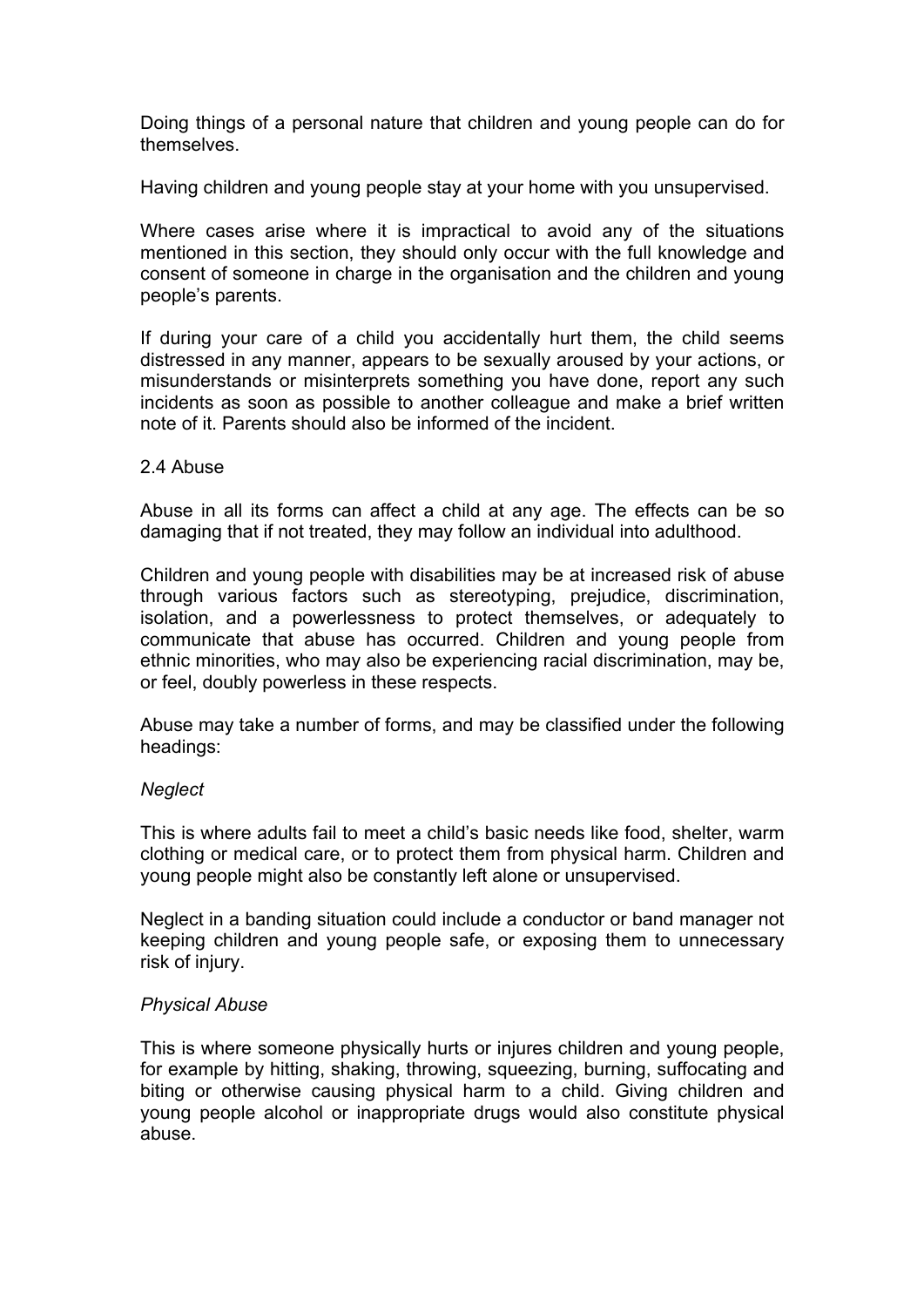Doing things of a personal nature that children and young people can do for themselves.

Having children and young people stay at your home with you unsupervised.

Where cases arise where it is impractical to avoid any of the situations mentioned in this section, they should only occur with the full knowledge and consent of someone in charge in the organisation and the children and young people's parents.

If during your care of a child you accidentally hurt them, the child seems distressed in any manner, appears to be sexually aroused by your actions, or misunderstands or misinterprets something you have done, report any such incidents as soon as possible to another colleague and make a brief written note of it. Parents should also be informed of the incident.

#### 2.4 Abuse

Abuse in all its forms can affect a child at any age. The effects can be so damaging that if not treated, they may follow an individual into adulthood.

Children and young people with disabilities may be at increased risk of abuse through various factors such as stereotyping, prejudice, discrimination, isolation, and a powerlessness to protect themselves, or adequately to communicate that abuse has occurred. Children and young people from ethnic minorities, who may also be experiencing racial discrimination, may be, or feel, doubly powerless in these respects.

Abuse may take a number of forms, and may be classified under the following headings:

#### *Neglect*

This is where adults fail to meet a child's basic needs like food, shelter, warm clothing or medical care, or to protect them from physical harm. Children and young people might also be constantly left alone or unsupervised.

Neglect in a banding situation could include a conductor or band manager not keeping children and young people safe, or exposing them to unnecessary risk of injury.

# *Physical Abuse*

This is where someone physically hurts or injures children and young people, for example by hitting, shaking, throwing, squeezing, burning, suffocating and biting or otherwise causing physical harm to a child. Giving children and young people alcohol or inappropriate drugs would also constitute physical abuse.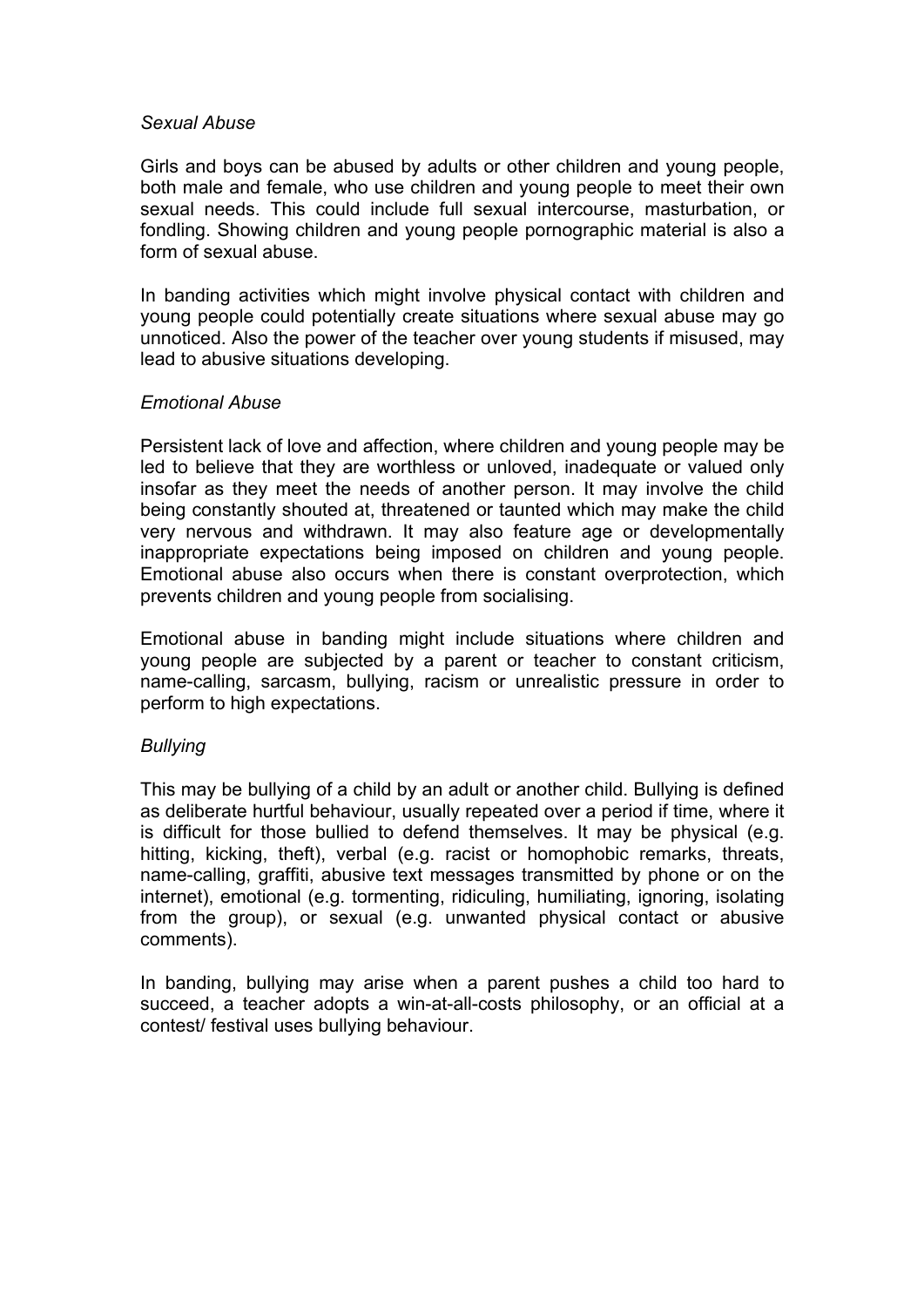#### *Sexual Abuse*

Girls and boys can be abused by adults or other children and young people, both male and female, who use children and young people to meet their own sexual needs. This could include full sexual intercourse, masturbation, or fondling. Showing children and young people pornographic material is also a form of sexual abuse.

In banding activities which might involve physical contact with children and young people could potentially create situations where sexual abuse may go unnoticed. Also the power of the teacher over young students if misused, may lead to abusive situations developing.

# *Emotional Abuse*

Persistent lack of love and affection, where children and young people may be led to believe that they are worthless or unloved, inadequate or valued only insofar as they meet the needs of another person. It may involve the child being constantly shouted at, threatened or taunted which may make the child very nervous and withdrawn. It may also feature age or developmentally inappropriate expectations being imposed on children and young people. Emotional abuse also occurs when there is constant overprotection, which prevents children and young people from socialising.

Emotional abuse in banding might include situations where children and young people are subjected by a parent or teacher to constant criticism, name-calling, sarcasm, bullying, racism or unrealistic pressure in order to perform to high expectations.

# *Bullying*

This may be bullying of a child by an adult or another child. Bullying is defined as deliberate hurtful behaviour, usually repeated over a period if time, where it is difficult for those bullied to defend themselves. It may be physical (e.g. hitting, kicking, theft), verbal (e.g. racist or homophobic remarks, threats, name-calling, graffiti, abusive text messages transmitted by phone or on the internet), emotional (e.g. tormenting, ridiculing, humiliating, ignoring, isolating from the group), or sexual (e.g. unwanted physical contact or abusive comments).

In banding, bullying may arise when a parent pushes a child too hard to succeed, a teacher adopts a win-at-all-costs philosophy, or an official at a contest/ festival uses bullying behaviour.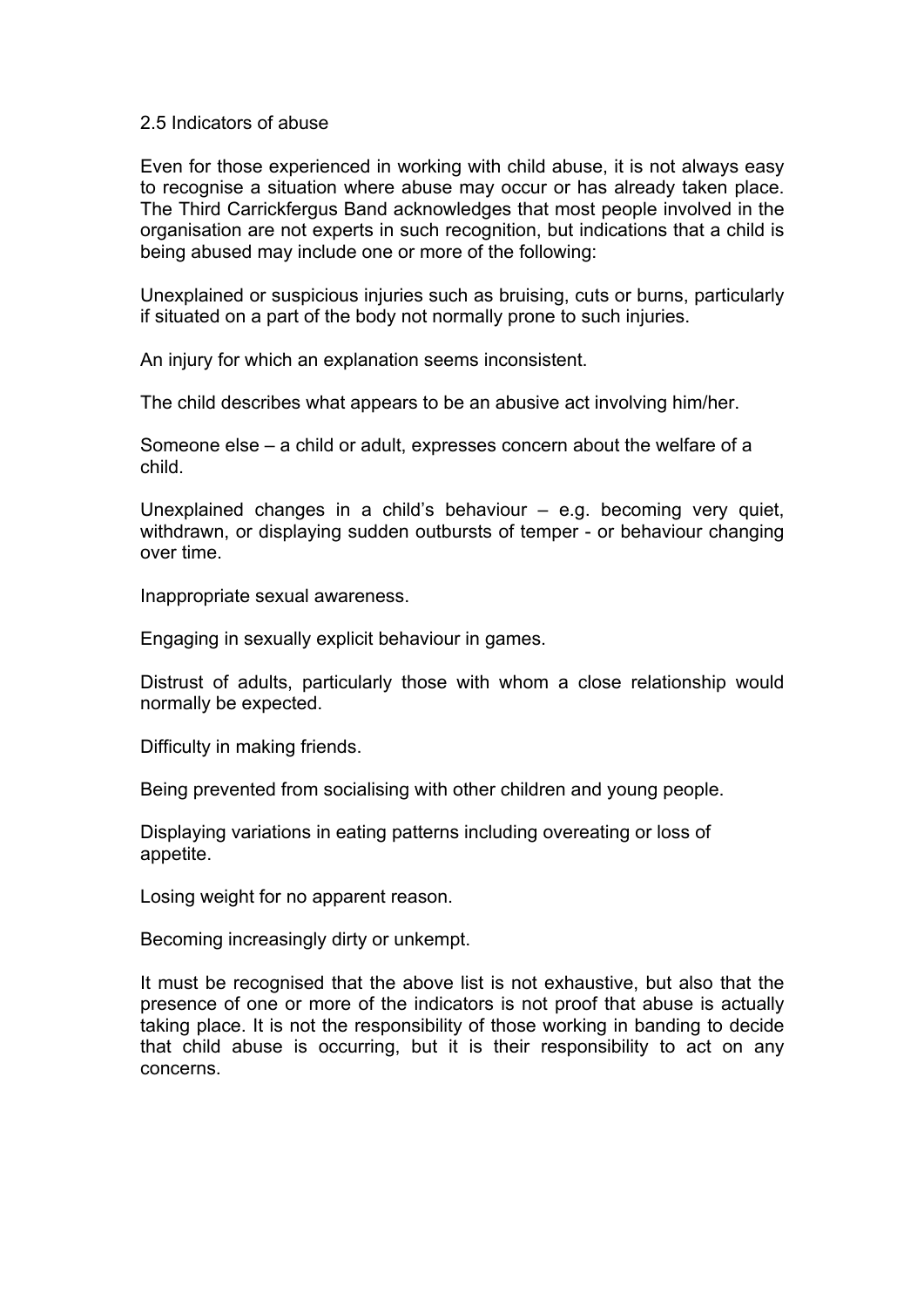#### 2.5 Indicators of abuse

Even for those experienced in working with child abuse, it is not always easy to recognise a situation where abuse may occur or has already taken place. The Third Carrickfergus Band acknowledges that most people involved in the organisation are not experts in such recognition, but indications that a child is being abused may include one or more of the following:

Unexplained or suspicious injuries such as bruising, cuts or burns, particularly if situated on a part of the body not normally prone to such injuries.

An injury for which an explanation seems inconsistent.

The child describes what appears to be an abusive act involving him/her.

Someone else – a child or adult, expresses concern about the welfare of a child.

Unexplained changes in a child's behaviour – e.g. becoming very quiet, withdrawn, or displaying sudden outbursts of temper - or behaviour changing over time.

Inappropriate sexual awareness.

Engaging in sexually explicit behaviour in games.

Distrust of adults, particularly those with whom a close relationship would normally be expected.

Difficulty in making friends.

Being prevented from socialising with other children and young people.

Displaying variations in eating patterns including overeating or loss of appetite.

Losing weight for no apparent reason.

Becoming increasingly dirty or unkempt.

It must be recognised that the above list is not exhaustive, but also that the presence of one or more of the indicators is not proof that abuse is actually taking place. It is not the responsibility of those working in banding to decide that child abuse is occurring, but it is their responsibility to act on any concerns.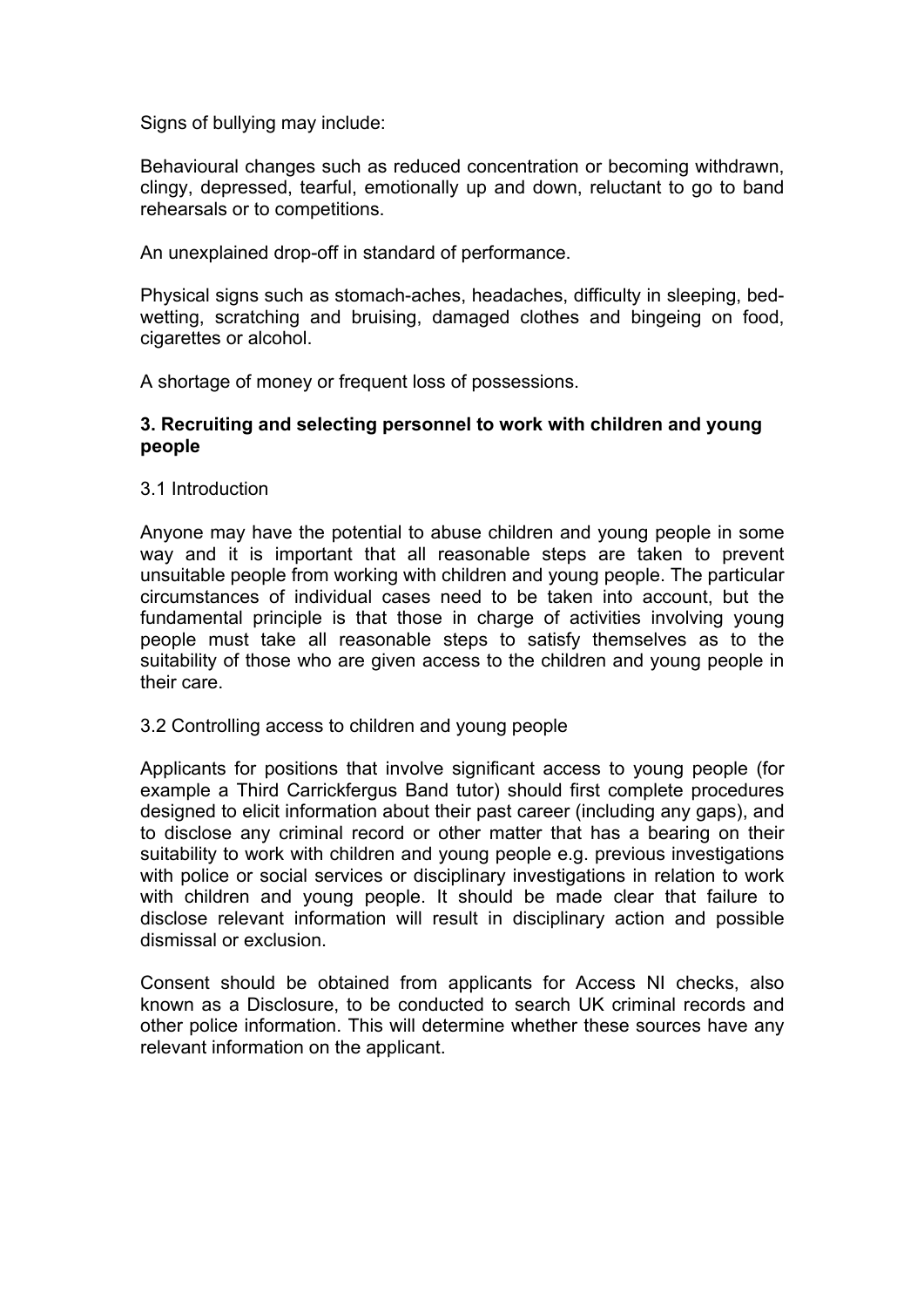Signs of bullying may include:

Behavioural changes such as reduced concentration or becoming withdrawn, clingy, depressed, tearful, emotionally up and down, reluctant to go to band rehearsals or to competitions.

An unexplained drop-off in standard of performance.

Physical signs such as stomach-aches, headaches, difficulty in sleeping, bedwetting, scratching and bruising, damaged clothes and bingeing on food, cigarettes or alcohol.

A shortage of money or frequent loss of possessions.

# **3. Recruiting and selecting personnel to work with children and young people**

3.1 Introduction

Anyone may have the potential to abuse children and young people in some way and it is important that all reasonable steps are taken to prevent unsuitable people from working with children and young people. The particular circumstances of individual cases need to be taken into account, but the fundamental principle is that those in charge of activities involving young people must take all reasonable steps to satisfy themselves as to the suitability of those who are given access to the children and young people in their care.

3.2 Controlling access to children and young people

Applicants for positions that involve significant access to young people (for example a Third Carrickfergus Band tutor) should first complete procedures designed to elicit information about their past career (including any gaps), and to disclose any criminal record or other matter that has a bearing on their suitability to work with children and young people e.g. previous investigations with police or social services or disciplinary investigations in relation to work with children and young people. It should be made clear that failure to disclose relevant information will result in disciplinary action and possible dismissal or exclusion.

Consent should be obtained from applicants for Access NI checks, also known as a Disclosure, to be conducted to search UK criminal records and other police information. This will determine whether these sources have any relevant information on the applicant.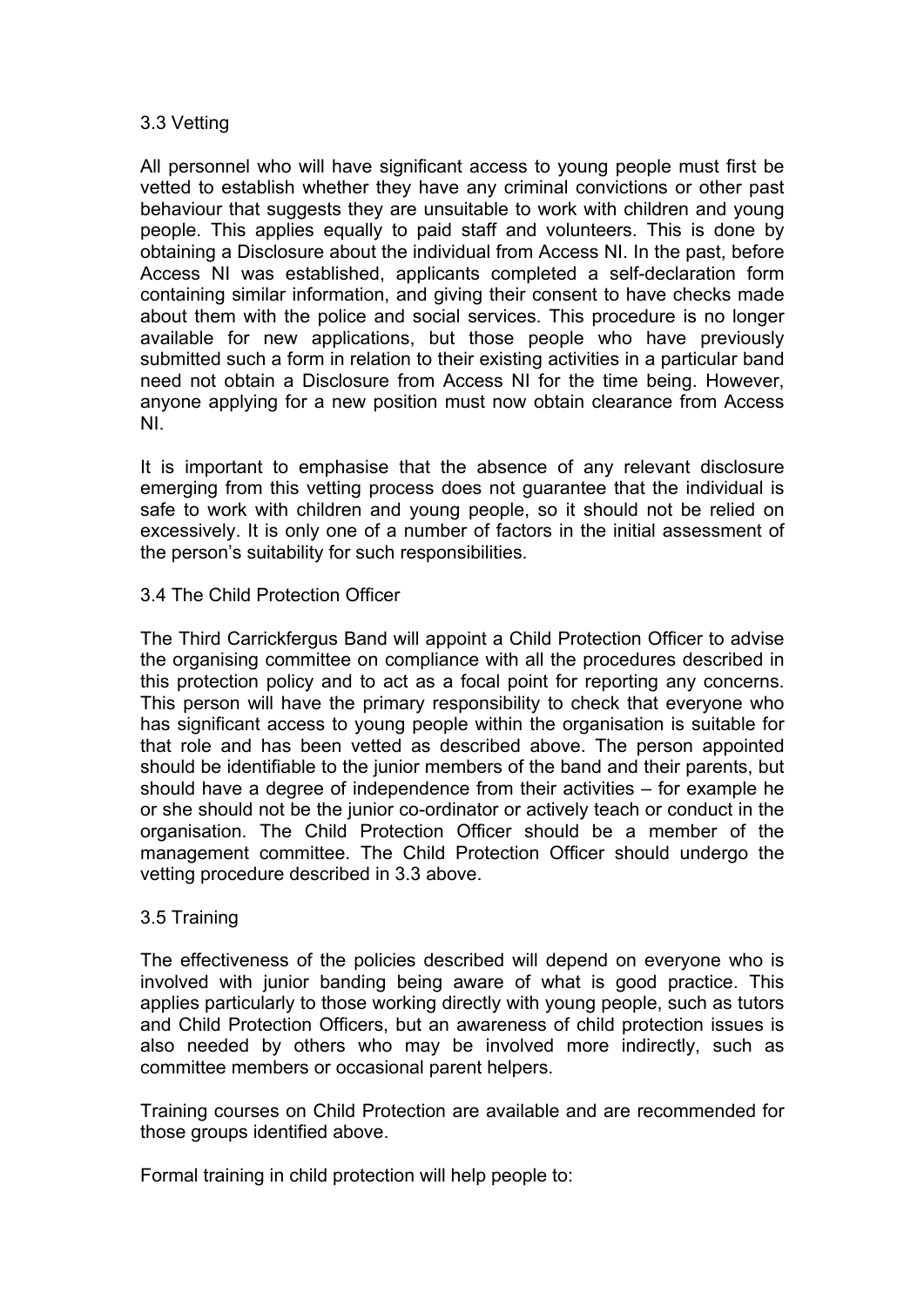#### 3.3 Vetting

All personnel who will have significant access to young people must first be vetted to establish whether they have any criminal convictions or other past behaviour that suggests they are unsuitable to work with children and young people. This applies equally to paid staff and volunteers. This is done by obtaining a Disclosure about the individual from Access NI. In the past, before Access NI was established, applicants completed a self-declaration form containing similar information, and giving their consent to have checks made about them with the police and social services. This procedure is no longer available for new applications, but those people who have previously submitted such a form in relation to their existing activities in a particular band need not obtain a Disclosure from Access NI for the time being. However, anyone applying for a new position must now obtain clearance from Access NI.

It is important to emphasise that the absence of any relevant disclosure emerging from this vetting process does not guarantee that the individual is safe to work with children and young people, so it should not be relied on excessively. It is only one of a number of factors in the initial assessment of the person's suitability for such responsibilities.

3.4 The Child Protection Officer

The Third Carrickfergus Band will appoint a Child Protection Officer to advise the organising committee on compliance with all the procedures described in this protection policy and to act as a focal point for reporting any concerns. This person will have the primary responsibility to check that everyone who has significant access to young people within the organisation is suitable for that role and has been vetted as described above. The person appointed should be identifiable to the junior members of the band and their parents, but should have a degree of independence from their activities – for example he or she should not be the junior co-ordinator or actively teach or conduct in the organisation. The Child Protection Officer should be a member of the management committee. The Child Protection Officer should undergo the vetting procedure described in 3.3 above.

# 3.5 Training

The effectiveness of the policies described will depend on everyone who is involved with junior banding being aware of what is good practice. This applies particularly to those working directly with young people, such as tutors and Child Protection Officers, but an awareness of child protection issues is also needed by others who may be involved more indirectly, such as committee members or occasional parent helpers.

Training courses on Child Protection are available and are recommended for those groups identified above.

Formal training in child protection will help people to: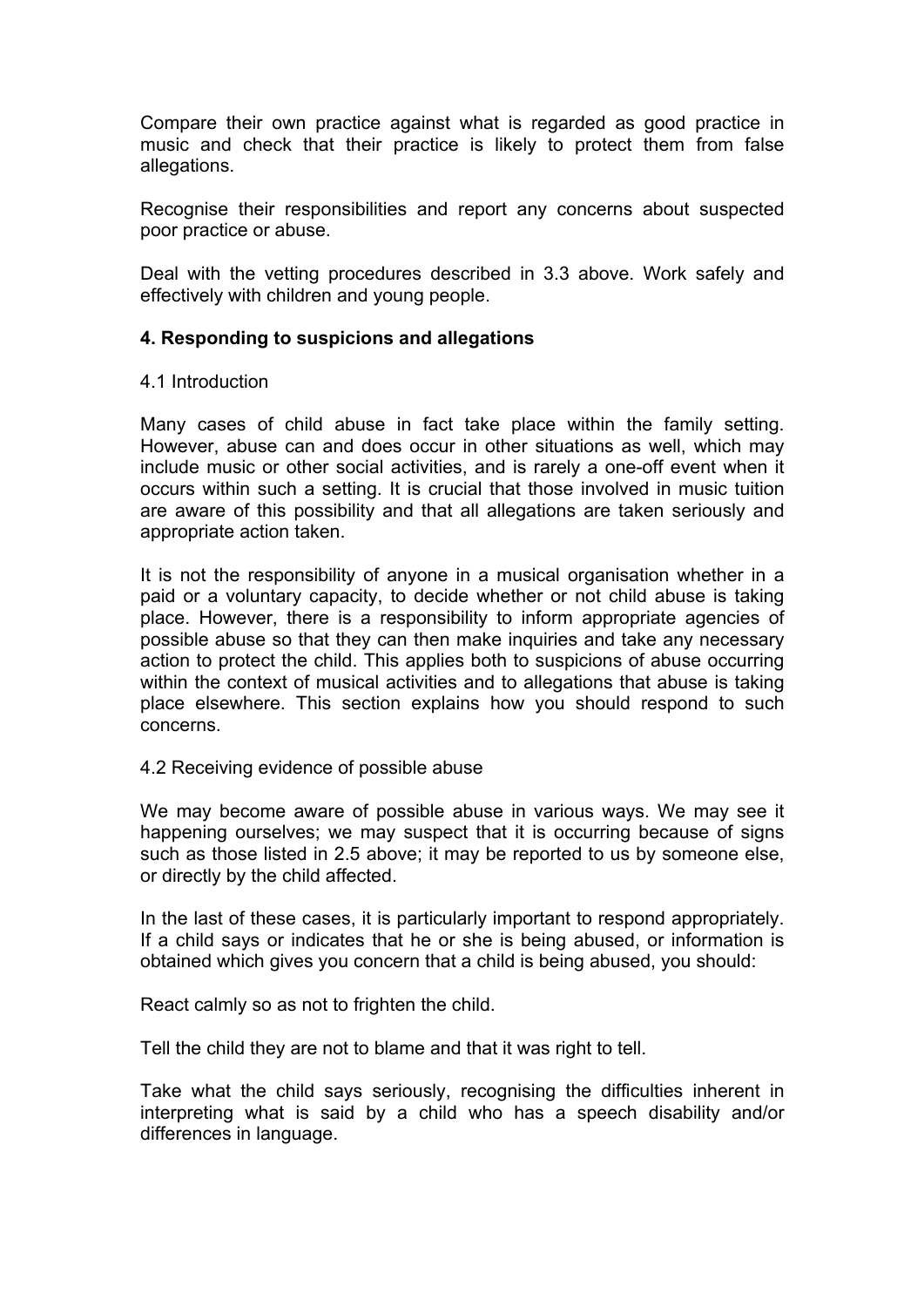Compare their own practice against what is regarded as good practice in music and check that their practice is likely to protect them from false allegations.

Recognise their responsibilities and report any concerns about suspected poor practice or abuse.

Deal with the vetting procedures described in 3.3 above. Work safely and effectively with children and young people.

# **4. Responding to suspicions and allegations**

#### 4.1 Introduction

Many cases of child abuse in fact take place within the family setting. However, abuse can and does occur in other situations as well, which may include music or other social activities, and is rarely a one-off event when it occurs within such a setting. It is crucial that those involved in music tuition are aware of this possibility and that all allegations are taken seriously and appropriate action taken.

It is not the responsibility of anyone in a musical organisation whether in a paid or a voluntary capacity, to decide whether or not child abuse is taking place. However, there is a responsibility to inform appropriate agencies of possible abuse so that they can then make inquiries and take any necessary action to protect the child. This applies both to suspicions of abuse occurring within the context of musical activities and to allegations that abuse is taking place elsewhere. This section explains how you should respond to such concerns.

4.2 Receiving evidence of possible abuse

We may become aware of possible abuse in various ways. We may see it happening ourselves; we may suspect that it is occurring because of signs such as those listed in 2.5 above; it may be reported to us by someone else, or directly by the child affected.

In the last of these cases, it is particularly important to respond appropriately. If a child says or indicates that he or she is being abused, or information is obtained which gives you concern that a child is being abused, you should:

React calmly so as not to frighten the child.

Tell the child they are not to blame and that it was right to tell.

Take what the child says seriously, recognising the difficulties inherent in interpreting what is said by a child who has a speech disability and/or differences in language.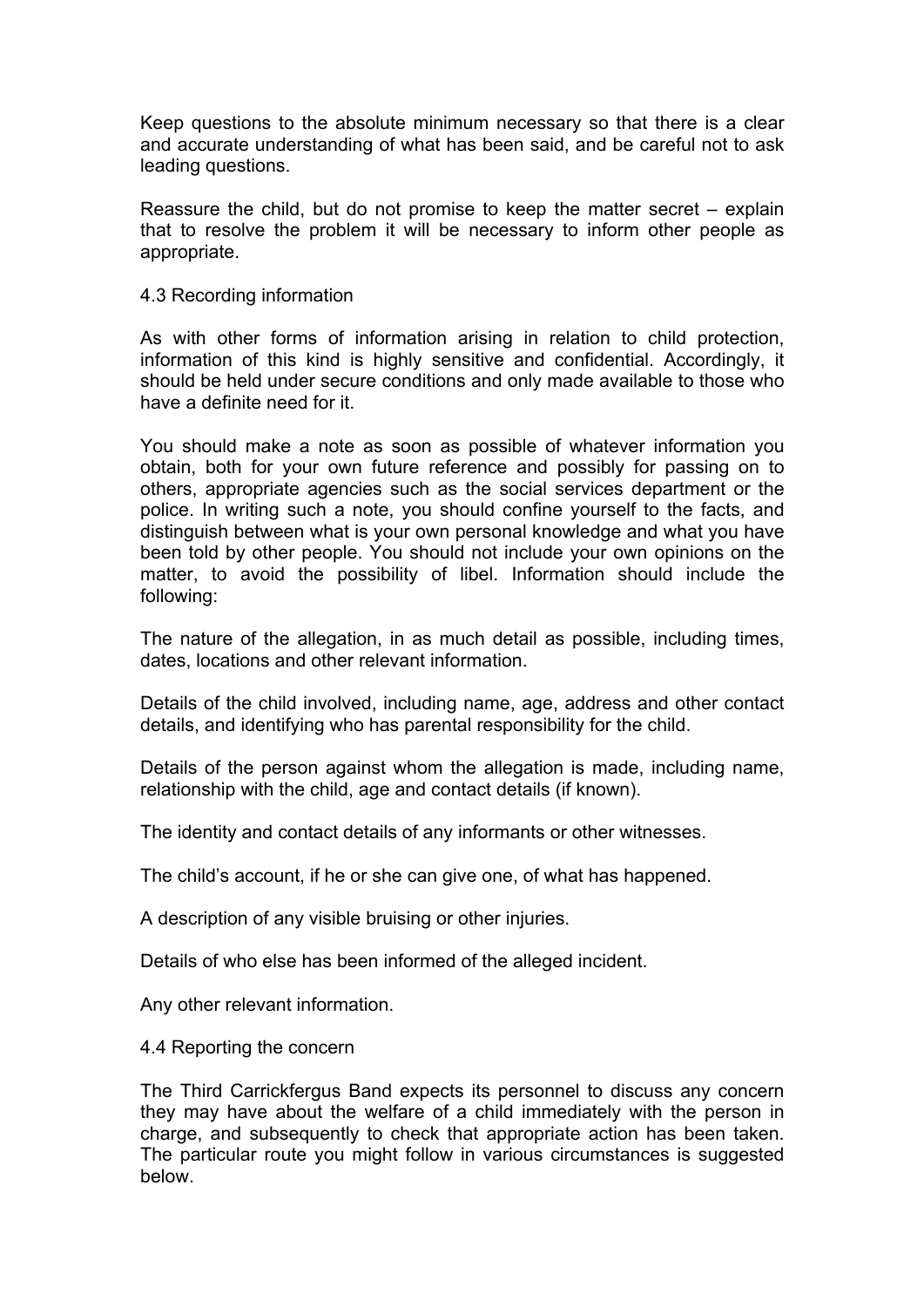Keep questions to the absolute minimum necessary so that there is a clear and accurate understanding of what has been said, and be careful not to ask leading questions.

Reassure the child, but do not promise to keep the matter secret – explain that to resolve the problem it will be necessary to inform other people as appropriate.

#### 4.3 Recording information

As with other forms of information arising in relation to child protection, information of this kind is highly sensitive and confidential. Accordingly, it should be held under secure conditions and only made available to those who have a definite need for it.

You should make a note as soon as possible of whatever information you obtain, both for your own future reference and possibly for passing on to others, appropriate agencies such as the social services department or the police. In writing such a note, you should confine yourself to the facts, and distinguish between what is your own personal knowledge and what you have been told by other people. You should not include your own opinions on the matter, to avoid the possibility of libel. Information should include the following:

The nature of the allegation, in as much detail as possible, including times, dates, locations and other relevant information.

Details of the child involved, including name, age, address and other contact details, and identifying who has parental responsibility for the child.

Details of the person against whom the allegation is made, including name, relationship with the child, age and contact details (if known).

The identity and contact details of any informants or other witnesses.

The child's account, if he or she can give one, of what has happened.

A description of any visible bruising or other injuries.

Details of who else has been informed of the alleged incident.

Any other relevant information.

4.4 Reporting the concern

The Third Carrickfergus Band expects its personnel to discuss any concern they may have about the welfare of a child immediately with the person in charge, and subsequently to check that appropriate action has been taken. The particular route you might follow in various circumstances is suggested below.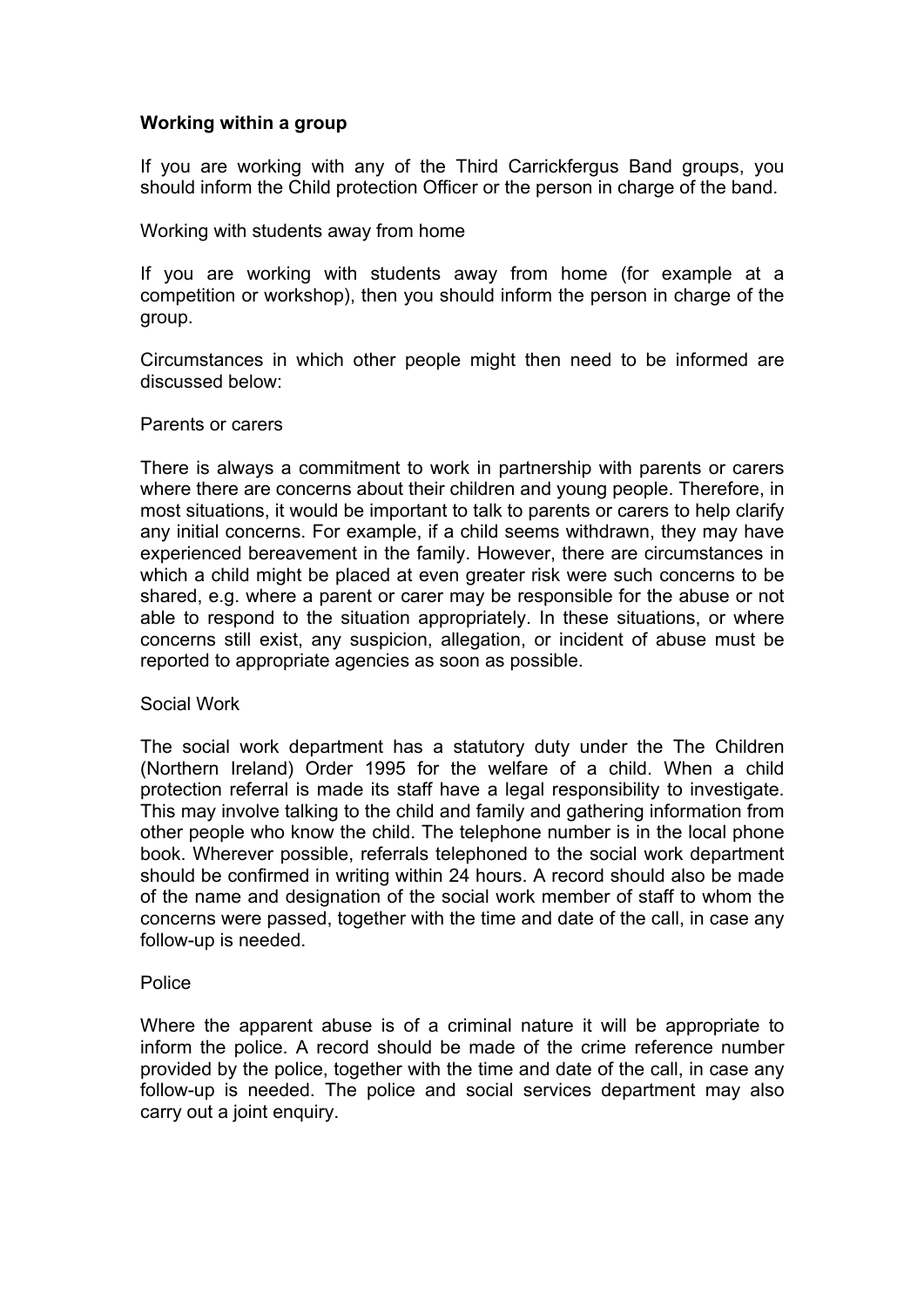# **Working within a group**

If you are working with any of the Third Carrickfergus Band groups, you should inform the Child protection Officer or the person in charge of the band.

#### Working with students away from home

If you are working with students away from home (for example at a competition or workshop), then you should inform the person in charge of the group.

Circumstances in which other people might then need to be informed are discussed below:

#### Parents or carers

There is always a commitment to work in partnership with parents or carers where there are concerns about their children and young people. Therefore, in most situations, it would be important to talk to parents or carers to help clarify any initial concerns. For example, if a child seems withdrawn, they may have experienced bereavement in the family. However, there are circumstances in which a child might be placed at even greater risk were such concerns to be shared, e.g. where a parent or carer may be responsible for the abuse or not able to respond to the situation appropriately. In these situations, or where concerns still exist, any suspicion, allegation, or incident of abuse must be reported to appropriate agencies as soon as possible.

#### Social Work

The social work department has a statutory duty under the The Children (Northern Ireland) Order 1995 for the welfare of a child. When a child protection referral is made its staff have a legal responsibility to investigate. This may involve talking to the child and family and gathering information from other people who know the child. The telephone number is in the local phone book. Wherever possible, referrals telephoned to the social work department should be confirmed in writing within 24 hours. A record should also be made of the name and designation of the social work member of staff to whom the concerns were passed, together with the time and date of the call, in case any follow-up is needed.

#### **Police**

Where the apparent abuse is of a criminal nature it will be appropriate to inform the police. A record should be made of the crime reference number provided by the police, together with the time and date of the call, in case any follow-up is needed. The police and social services department may also carry out a joint enquiry.